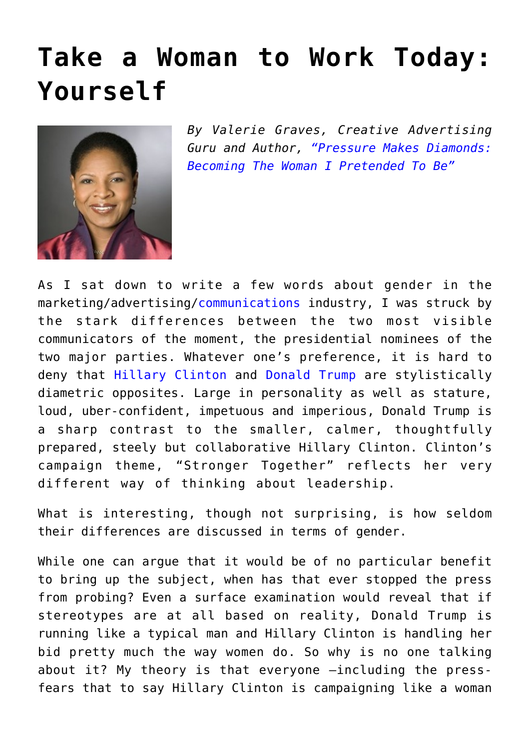## **[Take a Woman to Work Today:](https://www.commpro.biz/take-a-woman-to-work-today/) [Yourself](https://www.commpro.biz/take-a-woman-to-work-today/)**



*By Valerie Graves, Creative Advertising Guru and Author, ["Pressure Makes Diamonds:](https://www.amazon.com/Pressure-Makes-Diamonds-Becoming-Pretended/dp/1617754935) [Becoming The Woman I Pretended To Be"](https://www.amazon.com/Pressure-Makes-Diamonds-Becoming-Pretended/dp/1617754935)* 

As I sat down to write a few words about gender in the marketing/advertising/[communications](https://www.commpro.biz/) industry, I was struck by the stark differences between the two most visible communicators of the moment, the presidential nominees of the two major parties. Whatever one's preference, it is hard to deny that [Hillary Clinton](https://www.hillaryclinton.com/) and [Donald Trump](https://www.donaldjtrump.com/) are stylistically diametric opposites. Large in personality as well as stature, loud, uber-confident, impetuous and imperious, Donald Trump is a sharp contrast to the smaller, calmer, thoughtfully prepared, steely but collaborative Hillary Clinton. Clinton's campaign theme, "Stronger Together" reflects her very different way of thinking about leadership.

What is interesting, though not surprising, is how seldom their differences are discussed in terms of gender.

While one can argue that it would be of no particular benefit to bring up the subject, when has that ever stopped the press from probing? Even a surface examination would reveal that if stereotypes are at all based on reality, Donald Trump is running like a typical man and Hillary Clinton is handling her bid pretty much the way women do. So why is no one talking about it? My theory is that everyone –including the pressfears that to say Hillary Clinton is campaigning like a woman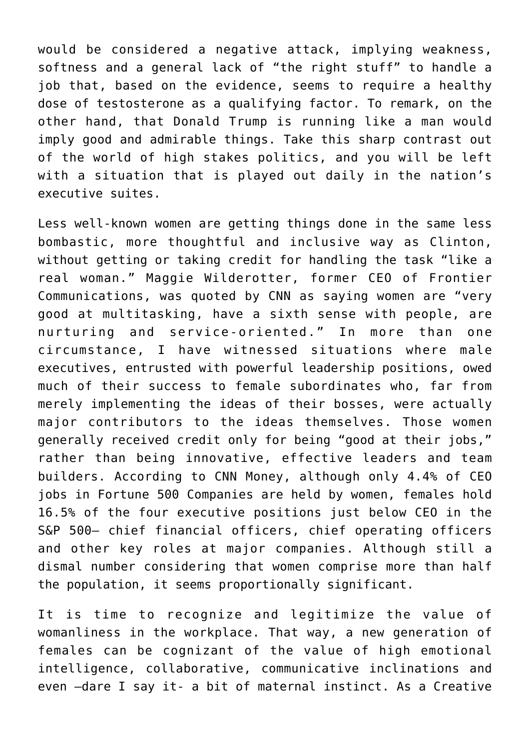would be considered a negative attack, implying weakness, softness and a general lack of "the right stuff" to handle a job that, based on the evidence, seems to require a healthy dose of testosterone as a qualifying factor. To remark, on the other hand, that Donald Trump is running like a man would imply good and admirable things. Take this sharp contrast out of the world of high stakes politics, and you will be left with a situation that is played out daily in the nation's executive suites.

Less well-known women are getting things done in the same less bombastic, more thoughtful and inclusive way as Clinton, without getting or taking credit for handling the task "like a real woman." Maggie Wilderotter, former CEO of Frontier Communications, was quoted by CNN as saying women are "very good at multitasking, have a sixth sense with people, are nurturing and service-oriented." In more than one circumstance, I have witnessed situations where male executives, entrusted with powerful leadership positions, owed much of their success to female subordinates who, far from merely implementing the ideas of their bosses, were actually major contributors to the ideas themselves. Those women generally received credit only for being "good at their jobs," rather than being innovative, effective leaders and team builders. According to CNN Money, although only 4.4% of CEO jobs in Fortune 500 Companies are held by women, females hold 16.5% of the four executive positions just below CEO in the S&P 500– chief financial officers, chief operating officers and other key roles at major companies. Although still a dismal number considering that women comprise more than half the population, it seems proportionally significant.

It is time to recognize and legitimize the value of womanliness in the workplace. That way, a new generation of females can be cognizant of the value of high emotional intelligence, collaborative, communicative inclinations and even –dare I say it- a bit of maternal instinct. As a Creative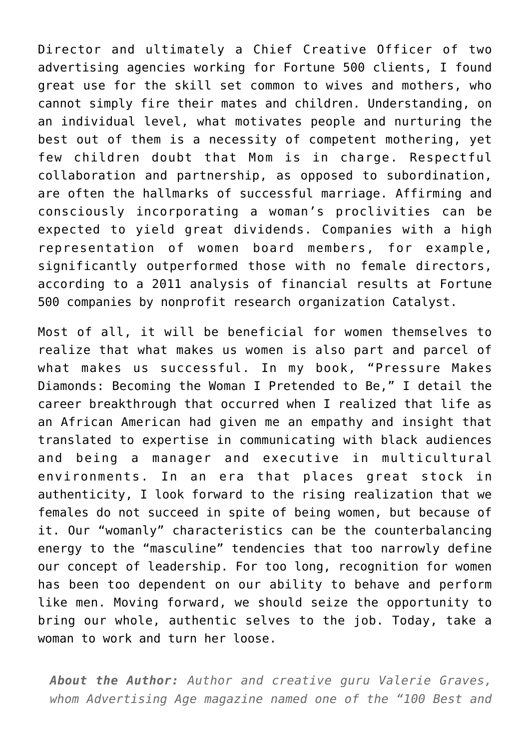Director and ultimately a Chief Creative Officer of two advertising agencies working for Fortune 500 clients, I found great use for the skill set common to wives and mothers, who cannot simply fire their mates and children. Understanding, on an individual level, what motivates people and nurturing the best out of them is a necessity of competent mothering, yet few children doubt that Mom is in charge. Respectful collaboration and partnership, as opposed to subordination, are often the hallmarks of successful marriage. Affirming and consciously incorporating a woman's proclivities can be expected to yield great dividends. Companies with a high representation of women board members, for example, significantly outperformed those with no female directors, according to a 2011 analysis of financial results at Fortune 500 companies by nonprofit research organization Catalyst.

Most of all, it will be beneficial for women themselves to realize that what makes us women is also part and parcel of what makes us successful. In my book, "Pressure Makes Diamonds: Becoming the Woman I Pretended to Be," I detail the career breakthrough that occurred when I realized that life as an African American had given me an empathy and insight that translated to expertise in communicating with black audiences and being a manager and executive in multicultural environments. In an era that places great stock in authenticity, I look forward to the rising realization that we females do not succeed in spite of being women, but because of it. Our "womanly" characteristics can be the counterbalancing energy to the "masculine" tendencies that too narrowly define our concept of leadership. For too long, recognition for women has been too dependent on our ability to behave and perform like men. Moving forward, we should seize the opportunity to bring our whole, authentic selves to the job. Today, take a woman to work and turn her loose.

*About the Author: Author and creative guru Valerie Graves, whom Advertising Age magazine named one of the "100 Best and*